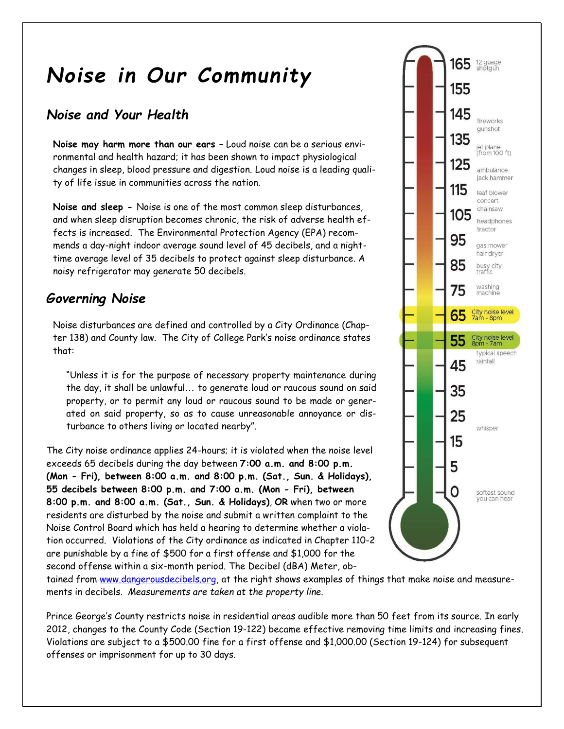# *Noise in Our Community*

## *Noise and Your Health*

**Noise may harm more than our ears –** Loud noise can be a serious environmental and health hazard; it has been shown to impact physiological changes in sleep, blood pressure and digestion. Loud noise is a leading quality of life issue in communities across the nation.

**Noise and sleep -** Noise is one of the most common sleep disturbances, and when sleep disruption becomes chronic, the risk of adverse health effects is increased. The Environmental Protection Agency (EPA) recommends a day-night indoor average sound level of 45 decibels, and a nighttime average level of 35 decibels to protect against sleep disturbance. A noisy refrigerator may generate 50 decibels.

## *Governing Noise*

Noise disturbances are defined and controlled by a City Ordinance (Chapter 138) and County law. The City of College Park's noise ordinance states that:

"Unless it is for the purpose of necessary property maintenance during the day, it shall be unlawful... to generate loud or raucous sound on said property, or to permit any loud or raucous sound to be made or generated on said property, so as to cause unreasonable annoyance or disturbance to others living or located nearby".

The City noise ordinance applies 24-hours; it is violated when the noise level exceeds 65 decibels during the day between **7:00 a.m. and 8:00 p.m. (Mon - Fri), between 8:00 a.m. and 8:00 p.m. (Sat., Sun. & Holidays), 55 decibels between 8:00 p.m. and 7:00 a.m. (Mon - Fri), between 8:00 p.m. and 8:00 a.m. (Sat., Sun. & Holidays)**, **OR** when two or more residents are disturbed by the noise and submit a written complaint to the Noise Control Board which has held a hearing to determine whether a violation occurred. Violations of the City ordinance as indicated in Chapter 110-2 are punishable by a fine of \$500 for a first offense and \$1,000 for the second offense within a six-month period. The Decibel (dBA) Meter, ob-



tained from [www.dangerousdecibels.org,](http://www.dangerousdecibels.org/) at the right shows examples of things that make noise and measurements in decibels. *Measurements are taken at the property line.*

Prince George's County restricts noise in residential areas audible more than 50 feet from its source. In early 2012, changes to the County Code (Section 19-122) became effective removing time limits and increasing fines. Violations are subject to a \$500.00 fine for a first offense and \$1,000.00 (Section 19-124) for subsequent offenses or imprisonment for up to 30 days.